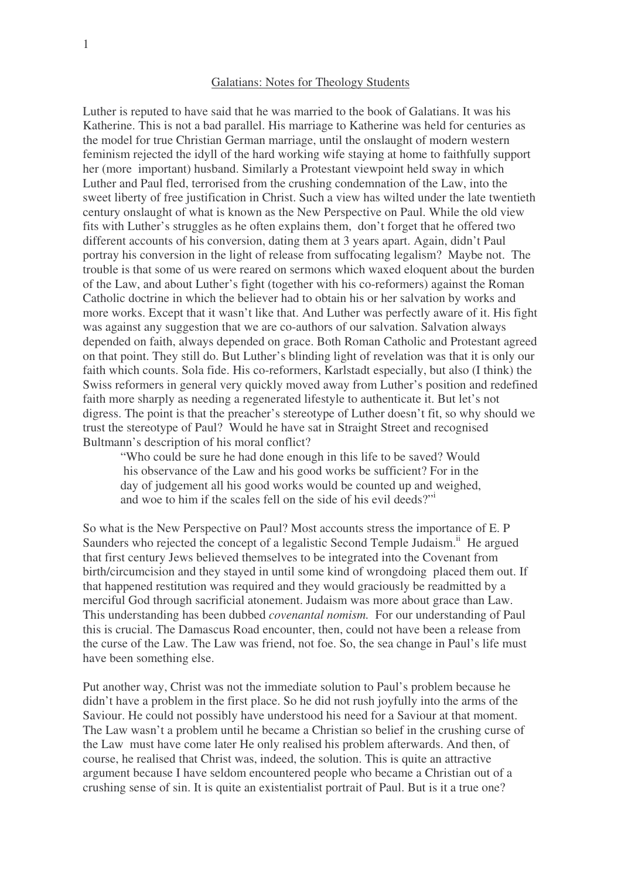## Galatians: Notes for Theology Students

Luther is reputed to have said that he was married to the book of Galatians. It was his Katherine. This is not a bad parallel. His marriage to Katherine was held for centuries as the model for true Christian German marriage, until the onslaught of modern western feminism rejected the idyll of the hard working wife staying at home to faithfully support her (more important) husband. Similarly a Protestant viewpoint held sway in which Luther and Paul fled, terrorised from the crushing condemnation of the Law, into the sweet liberty of free justification in Christ. Such a view has wilted under the late twentieth century onslaught of what is known as the New Perspective on Paul. While the old view fits with Luther's struggles as he often explains them, don't forget that he offered two different accounts of his conversion, dating them at 3 years apart. Again, didn't Paul portray his conversion in the light of release from suffocating legalism? Maybe not. The trouble is that some of us were reared on sermons which waxed eloquent about the burden of the Law, and about Luther's fight (together with his co-reformers) against the Roman Catholic doctrine in which the believer had to obtain his or her salvation by works and more works. Except that it wasn't like that. And Luther was perfectly aware of it. His fight was against any suggestion that we are co-authors of our salvation. Salvation always depended on faith, always depended on grace. Both Roman Catholic and Protestant agreed on that point. They still do. But Luther's blinding light of revelation was that it is only our faith which counts. Sola fide. His co-reformers, Karlstadt especially, but also (I think) the Swiss reformers in general very quickly moved away from Luther's position and redefined faith more sharply as needing a regenerated lifestyle to authenticate it. But let's not digress. The point is that the preacher's stereotype of Luther doesn't fit, so why should we trust the stereotype of Paul? Would he have sat in Straight Street and recognised Bultmann's description of his moral conflict?

"Who could be sure he had done enough in this life to be saved? Would his observance of the Law and his good works be sufficient? For in the day of judgement all his good works would be counted up and weighed, and woe to him if the scales fell on the side of his evil deeds?"<sup>i</sup>

So what is the New Perspective on Paul? Most accounts stress the importance of E. P Saunders who rejected the concept of a legalistic Second Temple Judaism.<sup>ii</sup> He argued that first century Jews believed themselves to be integrated into the Covenant from birth/circumcision and they stayed in until some kind of wrongdoing placed them out. If that happened restitution was required and they would graciously be readmitted by a merciful God through sacrificial atonement. Judaism was more about grace than Law. This understanding has been dubbed *covenantal nomism.* For our understanding of Paul this is crucial. The Damascus Road encounter, then, could not have been a release from the curse of the Law. The Law was friend, not foe. So, the sea change in Paul's life must have been something else.

Put another way, Christ was not the immediate solution to Paul's problem because he didn't have a problem in the first place. So he did not rush joyfully into the arms of the Saviour. He could not possibly have understood his need for a Saviour at that moment. The Law wasn't a problem until he became a Christian so belief in the crushing curse of the Law must have come later He only realised his problem afterwards. And then, of course, he realised that Christ was, indeed, the solution. This is quite an attractive argument because I have seldom encountered people who became a Christian out of a crushing sense of sin. It is quite an existentialist portrait of Paul. But is it a true one?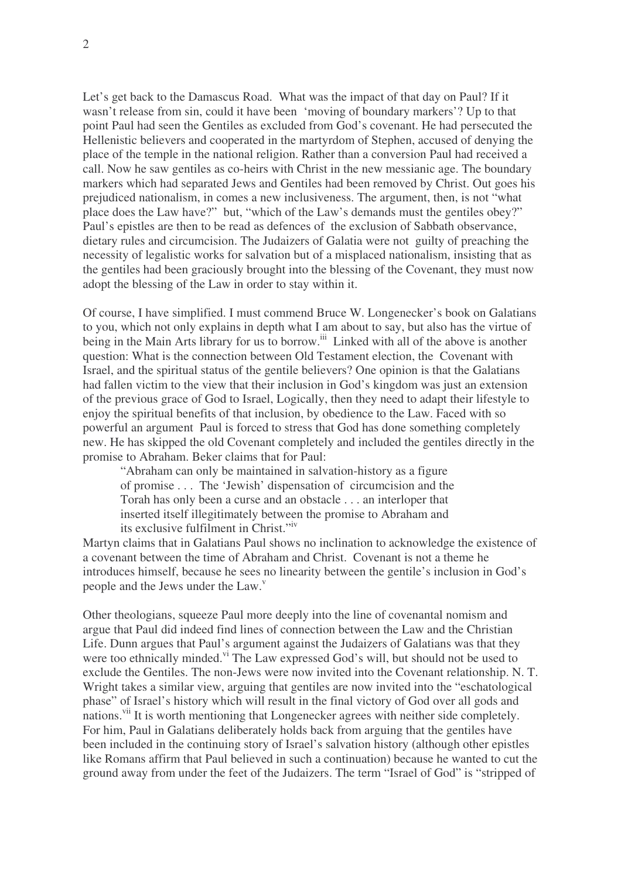Let's get back to the Damascus Road. What was the impact of that day on Paul? If it wasn't release from sin, could it have been 'moving of boundary markers'? Up to that point Paul had seen the Gentiles as excluded from God's covenant. He had persecuted the Hellenistic believers and cooperated in the martyrdom of Stephen, accused of denying the place of the temple in the national religion. Rather than a conversion Paul had received a call. Now he saw gentiles as co-heirs with Christ in the new messianic age. The boundary markers which had separated Jews and Gentiles had been removed by Christ. Out goes his prejudiced nationalism, in comes a new inclusiveness. The argument, then, is not "what place does the Law have?" but, "which of the Law's demands must the gentiles obey?" Paul's epistles are then to be read as defences of the exclusion of Sabbath observance, dietary rules and circumcision. The Judaizers of Galatia were not guilty of preaching the necessity of legalistic works for salvation but of a misplaced nationalism, insisting that as the gentiles had been graciously brought into the blessing of the Covenant, they must now adopt the blessing of the Law in order to stay within it.

Of course, I have simplified. I must commend Bruce W. Longenecker's book on Galatians to you, which not only explains in depth what I am about to say, but also has the virtue of being in the Main Arts library for us to borrow.<sup>iii</sup> Linked with all of the above is another question: What is the connection between Old Testament election, the Covenant with Israel, and the spiritual status of the gentile believers? One opinion is that the Galatians had fallen victim to the view that their inclusion in God's kingdom was just an extension of the previous grace of God to Israel, Logically, then they need to adapt their lifestyle to enjoy the spiritual benefits of that inclusion, by obedience to the Law. Faced with so powerful an argument Paul is forced to stress that God has done something completely new. He has skipped the old Covenant completely and included the gentiles directly in the promise to Abraham. Beker claims that for Paul:

"Abraham can only be maintained in salvation-history as a figure of promise . . . The 'Jewish' dispensation of circumcision and the Torah has only been a curse and an obstacle . . . an interloper that inserted itself illegitimately between the promise to Abraham and its exclusive fulfilment in Christ."<sup>iv</sup>

Martyn claims that in Galatians Paul shows no inclination to acknowledge the existence of a covenant between the time of Abraham and Christ. Covenant is not a theme he introduces himself, because he sees no linearity between the gentile's inclusion in God's people and the Jews under the Law.<sup>v</sup>

Other theologians, squeeze Paul more deeply into the line of covenantal nomism and argue that Paul did indeed find lines of connection between the Law and the Christian Life. Dunn argues that Paul's argument against the Judaizers of Galatians was that they were too ethnically minded.<sup>vi</sup> The Law expressed God's will, but should not be used to exclude the Gentiles. The non-Jews were now invited into the Covenant relationship. N. T. Wright takes a similar view, arguing that gentiles are now invited into the "eschatological phase" of Israel's history which will result in the final victory of God over all gods and nations.<sup>vii</sup> It is worth mentioning that Longenecker agrees with neither side completely. For him, Paul in Galatians deliberately holds back from arguing that the gentiles have been included in the continuing story of Israel's salvation history (although other epistles like Romans affirm that Paul believed in such a continuation) because he wanted to cut the ground away from under the feet of the Judaizers. The term "Israel of God" is "stripped of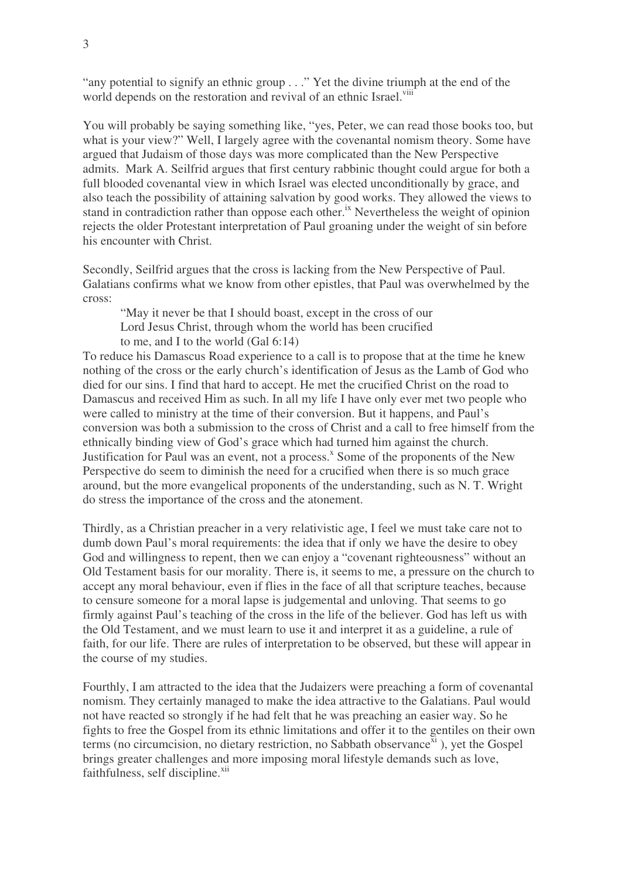"any potential to signify an ethnic group . . ." Yet the divine triumph at the end of the world depends on the restoration and revival of an ethnic Israel.<sup>viii</sup>

You will probably be saying something like, "yes, Peter, we can read those books too, but what is your view?" Well, I largely agree with the covenantal nomism theory. Some have argued that Judaism of those days was more complicated than the New Perspective admits. Mark A. Seilfrid argues that first century rabbinic thought could argue for both a full blooded covenantal view in which Israel was elected unconditionally by grace, and also teach the possibility of attaining salvation by good works. They allowed the views to stand in contradiction rather than oppose each other.<sup>ix</sup> Nevertheless the weight of opinion rejects the older Protestant interpretation of Paul groaning under the weight of sin before his encounter with Christ.

Secondly, Seilfrid argues that the cross is lacking from the New Perspective of Paul. Galatians confirms what we know from other epistles, that Paul was overwhelmed by the cross:

"May it never be that I should boast, except in the cross of our Lord Jesus Christ, through whom the world has been crucified to me, and I to the world (Gal 6:14)

To reduce his Damascus Road experience to a call is to propose that at the time he knew nothing of the cross or the early church's identification of Jesus as the Lamb of God who died for our sins. I find that hard to accept. He met the crucified Christ on the road to Damascus and received Him as such. In all my life I have only ever met two people who were called to ministry at the time of their conversion. But it happens, and Paul's conversion was both a submission to the cross of Christ and a call to free himself from the ethnically binding view of God's grace which had turned him against the church. Justification for Paul was an event, not a process.<sup>x</sup> Some of the proponents of the New Perspective do seem to diminish the need for a crucified when there is so much grace around, but the more evangelical proponents of the understanding, such as N. T. Wright do stress the importance of the cross and the atonement.

Thirdly, as a Christian preacher in a very relativistic age, I feel we must take care not to dumb down Paul's moral requirements: the idea that if only we have the desire to obey God and willingness to repent, then we can enjoy a "covenant righteousness" without an Old Testament basis for our morality. There is, it seems to me, a pressure on the church to accept any moral behaviour, even if flies in the face of all that scripture teaches, because to censure someone for a moral lapse is judgemental and unloving. That seems to go firmly against Paul's teaching of the cross in the life of the believer. God has left us with the Old Testament, and we must learn to use it and interpret it as a guideline, a rule of faith, for our life. There are rules of interpretation to be observed, but these will appear in the course of my studies.

Fourthly, I am attracted to the idea that the Judaizers were preaching a form of covenantal nomism. They certainly managed to make the idea attractive to the Galatians. Paul would not have reacted so strongly if he had felt that he was preaching an easier way. So he fights to free the Gospel from its ethnic limitations and offer it to the gentiles on their own terms (no circumcision, no dietary restriction, no Sabbath observance $\bar{x}$ <sup>i</sup>), yet the Gospel brings greater challenges and more imposing moral lifestyle demands such as love, faithfulness, self discipline.<sup>xii</sup>